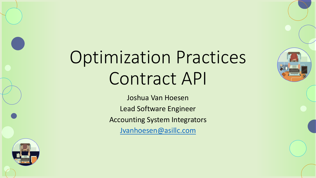

# Optimization Practices Contract API

Joshua Van Hoesen Lead Software Engineer Accounting System Integrators [Jvanhoesen@asillc.com](mailto:Jvanhoesen@asillc.com)

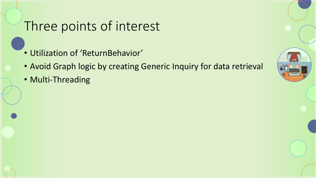#### Three points of interest

- Utilization of 'ReturnBehavior'
- Avoid Graph logic by creating Generic Inquiry for data retrieval
- Multi-Threading

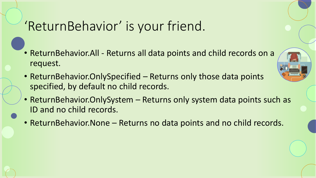## 'ReturnBehavior' is your friend.

- ReturnBehavior.All Returns all data points and child records on a request.
- ReturnBehavior. OnlySpecified Returns only those data points specified, by default no child records.
- ReturnBehavior. Only System Returns only system data points such as ID and no child records.
- ReturnBehavior.None Returns no data points and no child records.

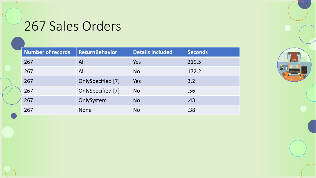## 267 Sales Orders

| Number of records | <b>ReturnBehavior</b> | <b>Details Included</b> | <b>Seconds</b> |
|-------------------|-----------------------|-------------------------|----------------|
| 267               | All                   | Yes                     | 219.5          |
| 267               | All                   | <b>No</b>               | 172.2          |
| 267               | OnlySpecified [7]     | Yes                     | 3.2            |
| 267               | OnlySpecified [7]     | <b>No</b>               | .56            |
| 267               | OnlySystem            | <b>No</b>               | .43            |
| 267               | <b>None</b>           | <b>No</b>               | .38            |

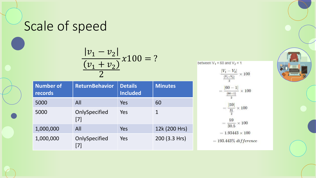### Scale of speed

$$
\frac{|v_1 - v_2|}{\frac{(v_1 + v_2)}{2}} \times 100 = ?
$$

| <b>Number of</b><br>records | <b>ReturnBehavior</b>  | <b>Details</b><br><b>Included</b> | <b>Minutes</b> |
|-----------------------------|------------------------|-----------------------------------|----------------|
| 5000                        | All                    | Yes                               | 60             |
| 5000                        | OnlySpecified<br>$[7]$ | Yes                               | 1              |
| 1,000,000                   | All                    | Yes                               | 12k (200 Hrs)  |
| 1,000,000                   | OnlySpecified<br>$[7]$ | Yes                               | 200 (3.3 Hrs)  |

between  $V_1$  = 60 and  $V_2$  = 1



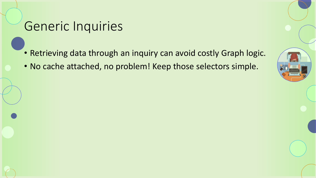#### Generic Inquiries

- Retrieving data through an inquiry can avoid costly Graph logic.
- No cache attached, no problem! Keep those selectors simple.

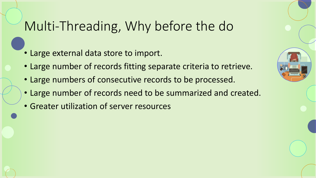### Multi-Threading, Why before the do

- Large external data store to import.
- Large number of records fitting separate criteria to retrieve.
- Large numbers of consecutive records to be processed.
- Large number of records need to be summarized and created.
- Greater utilization of server resources

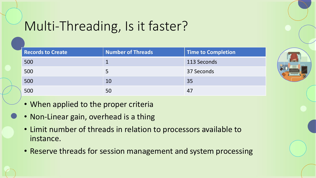## Multi-Threading, Is it faster?

| <b>Records to Create</b> | Number of Threads | <b>Time to Completion</b> |
|--------------------------|-------------------|---------------------------|
| 500                      |                   | 113 Seconds               |
| 500                      |                   | 37 Seconds                |
| 500                      | 10                | 35                        |
| 500                      | 50                | 47                        |



- When applied to the proper criteria
- Non-Linear gain, overhead is a thing
- Limit number of threads in relation to processors available to instance.
- Reserve threads for session management and system processing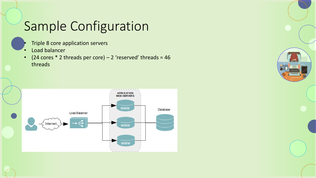## Sample Configuration

- Triple 8 core application servers
- Load balancer
- (24 cores  $*$  2 threads per core) 2 'reserved' threads = 46 threads



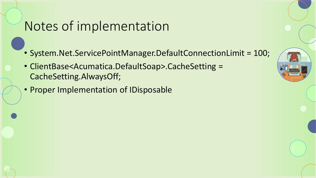#### Notes of implementation

- System.Net.ServicePointManager.DefaultConnectionLimit = 100;
- ClientBase<Acumatica.DefaultSoap>.CacheSetting = CacheSetting.AlwaysOff;
- Proper Implementation of IDisposable

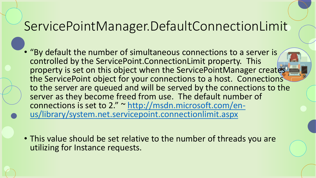## ServicePointManager.DefaultConnectionLimit

- "By default the number of simultaneous connections to a server is controlled by the ServicePoint.ConnectionLimit property. This property is set on this object when the ServicePointManager creates the ServicePoint object for your connections to a host. Connections to the server are queued and will be served by the connections to the server as they become freed from use. The default number of connections is set to 2." ~ http://msdn.microsoft.com/en[us/library/system.net.servicepoint.connectionlimit.aspx](http://msdn.microsoft.com/en-us/library/system.net.servicepoint.connectionlimit.aspx)
- This value should be set relative to the number of threads you are utilizing for Instance requests.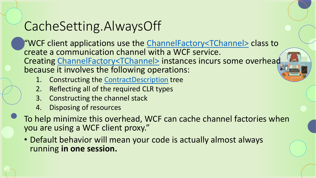## CacheSetting.AlwaysOff

"WCF client applications use the [ChannelFactory<TChannel>](https://docs.microsoft.com/en-us/dotnet/api/system.servicemodel.channelfactory-1) class to create a communication channel with a WCF service. Creating [ChannelFactory<TChannel>](https://docs.microsoft.com/en-us/dotnet/api/system.servicemodel.channelfactory-1) instances incurs some overhead because it involves the following operations:

- 1. Constructing the [ContractDescription](https://docs.microsoft.com/en-us/dotnet/api/system.servicemodel.description.contractdescription) tree
- 2. Reflecting all of the required CLR types
- 3. Constructing the channel stack
- 4. Disposing of resources
- To help minimize this overhead, WCF can cache channel factories when you are using a WCF client proxy."
	- Default behavior will mean your code is actually almost always running **in one session.**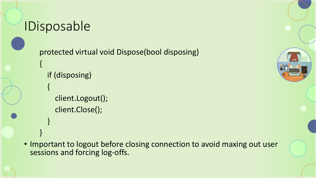#### IDisposable

{

{

}

}

protected virtual void Dispose(bool disposing)

- if (disposing)
	- client.Logout(); client.Close();



• Important to logout before closing connection to avoid maxing out user sessions and forcing log-offs.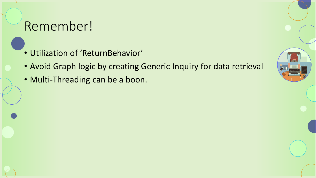#### Remember!

- Utilization of 'ReturnBehavior'
- Avoid Graph logic by creating Generic Inquiry for data retrieval
- Multi-Threading can be a boon.